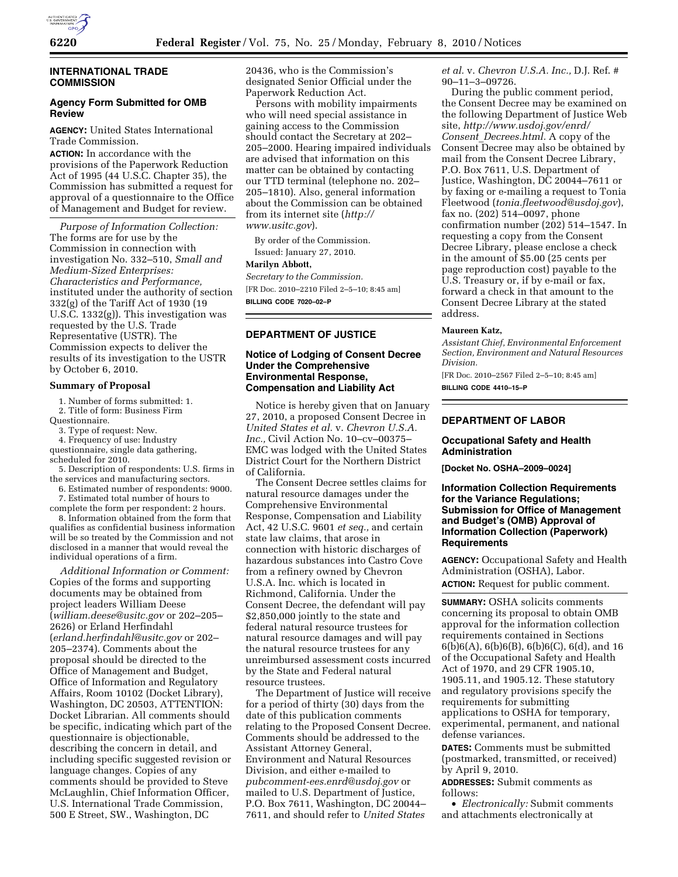

## **INTERNATIONAL TRADE COMMISSION**

## **Agency Form Submitted for OMB Review**

**AGENCY:** United States International Trade Commission.

**ACTION:** In accordance with the provisions of the Paperwork Reduction Act of 1995 (44 U.S.C. Chapter 35), the Commission has submitted a request for approval of a questionnaire to the Office of Management and Budget for review.

*Purpose of Information Collection:*  The forms are for use by the Commission in connection with investigation No. 332–510, *Small and Medium-Sized Enterprises: Characteristics and Performance,*  instituted under the authority of section 332(g) of the Tariff Act of 1930 (19 U.S.C. 1332(g)). This investigation was requested by the U.S. Trade Representative (USTR). The Commission expects to deliver the results of its investigation to the USTR by October 6, 2010.

### **Summary of Proposal**

1. Number of forms submitted: 1.

2. Title of form: Business Firm

Questionnaire.

3. Type of request: New.

4. Frequency of use: Industry

questionnaire, single data gathering, scheduled for 2010.

5. Description of respondents: U.S. firms in the services and manufacturing sectors.

6. Estimated number of respondents: 9000.

7. Estimated total number of hours to complete the form per respondent: 2 hours.

8. Information obtained from the form that qualifies as confidential business information will be so treated by the Commission and not disclosed in a manner that would reveal the individual operations of a firm.

*Additional Information or Comment:*  Copies of the forms and supporting documents may be obtained from project leaders William Deese (*william.deese@usitc.gov* or 202–205– 2626) or Erland Herfindahl (*erland.herfindahl@usitc.gov* or 202– 205–2374). Comments about the proposal should be directed to the Office of Management and Budget, Office of Information and Regulatory Affairs, Room 10102 (Docket Library), Washington, DC 20503, ATTENTION: Docket Librarian. All comments should be specific, indicating which part of the questionnaire is objectionable, describing the concern in detail, and including specific suggested revision or language changes. Copies of any comments should be provided to Steve McLaughlin, Chief Information Officer, U.S. International Trade Commission, 500 E Street, SW., Washington, DC

20436, who is the Commission's designated Senior Official under the Paperwork Reduction Act.

Persons with mobility impairments who will need special assistance in gaining access to the Commission should contact the Secretary at 202– 205–2000. Hearing impaired individuals are advised that information on this matter can be obtained by contacting our TTD terminal (telephone no. 202– 205–1810). Also, general information about the Commission can be obtained from its internet site (*http:// www.usitc.gov*).

By order of the Commission. Issued: January 27, 2010.

# **Marilyn Abbott,**

*Secretary to the Commission.*  [FR Doc. 2010–2210 Filed 2–5–10; 8:45 am]

**BILLING CODE 7020–02–P** 

# **DEPARTMENT OF JUSTICE**

## **Notice of Lodging of Consent Decree Under the Comprehensive Environmental Response, Compensation and Liability Act**

Notice is hereby given that on January 27, 2010, a proposed Consent Decree in *United States et al.* v. *Chevron U.S.A. Inc.,* Civil Action No. 10–cv–00375– EMC was lodged with the United States District Court for the Northern District of California.

The Consent Decree settles claims for natural resource damages under the Comprehensive Environmental Response, Compensation and Liability Act, 42 U.S.C. 9601 *et seq.,* and certain state law claims, that arose in connection with historic discharges of hazardous substances into Castro Cove from a refinery owned by Chevron U.S.A. Inc. which is located in Richmond, California. Under the Consent Decree, the defendant will pay \$2,850,000 jointly to the state and federal natural resource trustees for natural resource damages and will pay the natural resource trustees for any unreimbursed assessment costs incurred by the State and Federal natural resource trustees.

The Department of Justice will receive for a period of thirty (30) days from the date of this publication comments relating to the Proposed Consent Decree. Comments should be addressed to the Assistant Attorney General, Environment and Natural Resources Division, and either e-mailed to *pubcomment-ees.enrd@usdoj.gov* or mailed to U.S. Department of Justice, P.O. Box 7611, Washington, DC 20044– 7611, and should refer to *United States* 

*et al.* v. *Chevron U.S.A. Inc.,* D.J. Ref. # 90–11–3–09726.

During the public comment period, the Consent Decree may be examined on the following Department of Justice Web site, *http://www.usdoj.gov/enrd/ Consent*\_*Decrees.html.* A copy of the Consent Decree may also be obtained by mail from the Consent Decree Library, P.O. Box 7611, U.S. Department of Justice, Washington, DC 20044–7611 or by faxing or e-mailing a request to Tonia Fleetwood (*tonia.fleetwood@usdoj.gov*), fax no. (202) 514–0097, phone confirmation number (202) 514–1547. In requesting a copy from the Consent Decree Library, please enclose a check in the amount of \$5.00 (25 cents per page reproduction cost) payable to the U.S. Treasury or, if by e-mail or fax, forward a check in that amount to the Consent Decree Library at the stated address.

#### **Maureen Katz,**

*Assistant Chief, Environmental Enforcement Section, Environment and Natural Resources Division.* 

[FR Doc. 2010–2567 Filed 2–5–10; 8:45 am] **BILLING CODE 4410–15–P** 

**DEPARTMENT OF LABOR** 

## **Occupational Safety and Health Administration**

**[Docket No. OSHA–2009–0024]** 

## **Information Collection Requirements for the Variance Regulations; Submission for Office of Management and Budget's (OMB) Approval of Information Collection (Paperwork) Requirements**

**AGENCY:** Occupational Safety and Health Administration (OSHA), Labor. **ACTION:** Request for public comment.

**SUMMARY:** OSHA solicits comments concerning its proposal to obtain OMB approval for the information collection requirements contained in Sections 6(b)6(A), 6(b)6(B), 6(b)6(C), 6(d), and 16 of the Occupational Safety and Health Act of 1970, and 29 CFR 1905.10, 1905.11, and 1905.12. These statutory and regulatory provisions specify the requirements for submitting applications to OSHA for temporary, experimental, permanent, and national defense variances.

**DATES:** Comments must be submitted (postmarked, transmitted, or received) by April 9, 2010.

**ADDRESSES:** Submit comments as follows:

• *Electronically:* Submit comments and attachments electronically at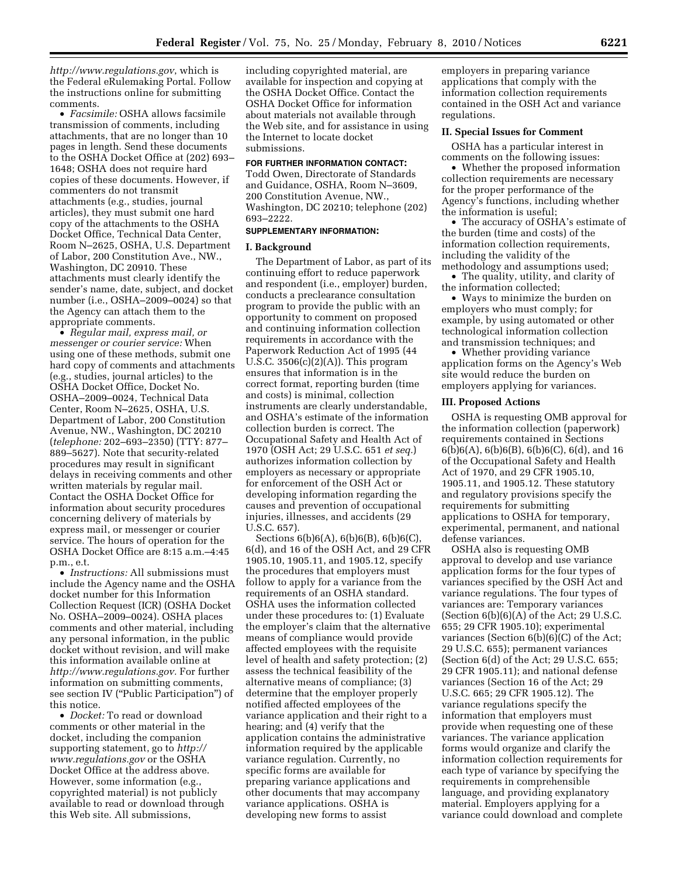*http://www.regulations.gov*, which is the Federal eRulemaking Portal. Follow the instructions online for submitting comments.

• *Facsimile:* OSHA allows facsimile transmission of comments, including attachments, that are no longer than 10 pages in length. Send these documents to the OSHA Docket Office at (202) 693– 1648; OSHA does not require hard copies of these documents. However, if commenters do not transmit attachments (e.g., studies, journal articles), they must submit one hard copy of the attachments to the OSHA Docket Office, Technical Data Center, Room N–2625, OSHA, U.S. Department of Labor, 200 Constitution Ave., NW., Washington, DC 20910. These attachments must clearly identify the sender's name, date, subject, and docket number (i.e., OSHA–2009–0024) so that the Agency can attach them to the appropriate comments.

• *Regular mail, express mail, or messenger or courier service:* When using one of these methods, submit one hard copy of comments and attachments (e.g., studies, journal articles) to the OSHA Docket Office, Docket No. OSHA–2009–0024, Technical Data Center, Room N–2625, OSHA, U.S. Department of Labor, 200 Constitution Avenue, NW., Washington, DC 20210 (*telephone:* 202–693–2350) (TTY: 877– 889–5627). Note that security-related procedures may result in significant delays in receiving comments and other written materials by regular mail. Contact the OSHA Docket Office for information about security procedures concerning delivery of materials by express mail, or messenger or courier service. The hours of operation for the OSHA Docket Office are 8:15 a.m.–4:45 p.m., e.t.

• *Instructions:* All submissions must include the Agency name and the OSHA docket number for this Information Collection Request (ICR) (OSHA Docket No. OSHA–2009–0024). OSHA places comments and other material, including any personal information, in the public docket without revision, and will make this information available online at *http://www.regulations.gov.* For further information on submitting comments, see section IV (''Public Participation'') of this notice.

• *Docket:* To read or download comments or other material in the docket, including the companion supporting statement, go to *http:// www.regulations.gov* or the OSHA Docket Office at the address above. However, some information (e.g., copyrighted material) is not publicly available to read or download through this Web site. All submissions,

including copyrighted material, are available for inspection and copying at the OSHA Docket Office. Contact the OSHA Docket Office for information about materials not available through the Web site, and for assistance in using the Internet to locate docket submissions.

### **FOR FURTHER INFORMATION CONTACT:**

Todd Owen, Directorate of Standards and Guidance, OSHA, Room N–3609, 200 Constitution Avenue, NW., Washington, DC 20210; telephone (202) 693–2222.

## **SUPPLEMENTARY INFORMATION:**

### **I. Background**

The Department of Labor, as part of its continuing effort to reduce paperwork and respondent (i.e., employer) burden, conducts a preclearance consultation program to provide the public with an opportunity to comment on proposed and continuing information collection requirements in accordance with the Paperwork Reduction Act of 1995 (44 U.S.C. 3506(c)(2)(A)). This program ensures that information is in the correct format, reporting burden (time and costs) is minimal, collection instruments are clearly understandable, and OSHA's estimate of the information collection burden is correct. The Occupational Safety and Health Act of 1970 (OSH Act; 29 U.S.C. 651 *et seq.*) authorizes information collection by employers as necessary or appropriate for enforcement of the OSH Act or developing information regarding the causes and prevention of occupational injuries, illnesses, and accidents (29 U.S.C. 657).

Sections 6(b)6(A), 6(b)6(B), 6(b)6(C), 6(d), and 16 of the OSH Act, and 29 CFR 1905.10, 1905.11, and 1905.12, specify the procedures that employers must follow to apply for a variance from the requirements of an OSHA standard. OSHA uses the information collected under these procedures to: (1) Evaluate the employer's claim that the alternative means of compliance would provide affected employees with the requisite level of health and safety protection; (2) assess the technical feasibility of the alternative means of compliance; (3) determine that the employer properly notified affected employees of the variance application and their right to a hearing; and (4) verify that the application contains the administrative information required by the applicable variance regulation. Currently, no specific forms are available for preparing variance applications and other documents that may accompany variance applications. OSHA is developing new forms to assist

employers in preparing variance applications that comply with the information collection requirements contained in the OSH Act and variance regulations.

## **II. Special Issues for Comment**

OSHA has a particular interest in comments on the following issues:

• Whether the proposed information collection requirements are necessary for the proper performance of the Agency's functions, including whether the information is useful;

• The accuracy of OSHA's estimate of the burden (time and costs) of the information collection requirements, including the validity of the methodology and assumptions used;

• The quality, utility, and clarity of the information collected;

• Ways to minimize the burden on employers who must comply; for example, by using automated or other technological information collection and transmission techniques; and

• Whether providing variance application forms on the Agency's Web site would reduce the burden on employers applying for variances.

### **III. Proposed Actions**

OSHA is requesting OMB approval for the information collection (paperwork) requirements contained in Sections 6(b)6(A), 6(b)6(B), 6(b)6(C), 6(d), and 16 of the Occupational Safety and Health Act of 1970, and 29 CFR 1905.10, 1905.11, and 1905.12. These statutory and regulatory provisions specify the requirements for submitting applications to OSHA for temporary, experimental, permanent, and national defense variances.

OSHA also is requesting OMB approval to develop and use variance application forms for the four types of variances specified by the OSH Act and variance regulations. The four types of variances are: Temporary variances (Section  $6(b)(6)(A)$  of the Act; 29 U.S.C. 655; 29 CFR 1905.10); experimental variances (Section  $6(b)(6)(C)$  of the Act; 29 U.S.C. 655); permanent variances (Section 6(d) of the Act; 29 U.S.C. 655; 29 CFR 1905.11); and national defense variances (Section 16 of the Act; 29 U.S.C. 665; 29 CFR 1905.12). The variance regulations specify the information that employers must provide when requesting one of these variances. The variance application forms would organize and clarify the information collection requirements for each type of variance by specifying the requirements in comprehensible language, and providing explanatory material. Employers applying for a variance could download and complete